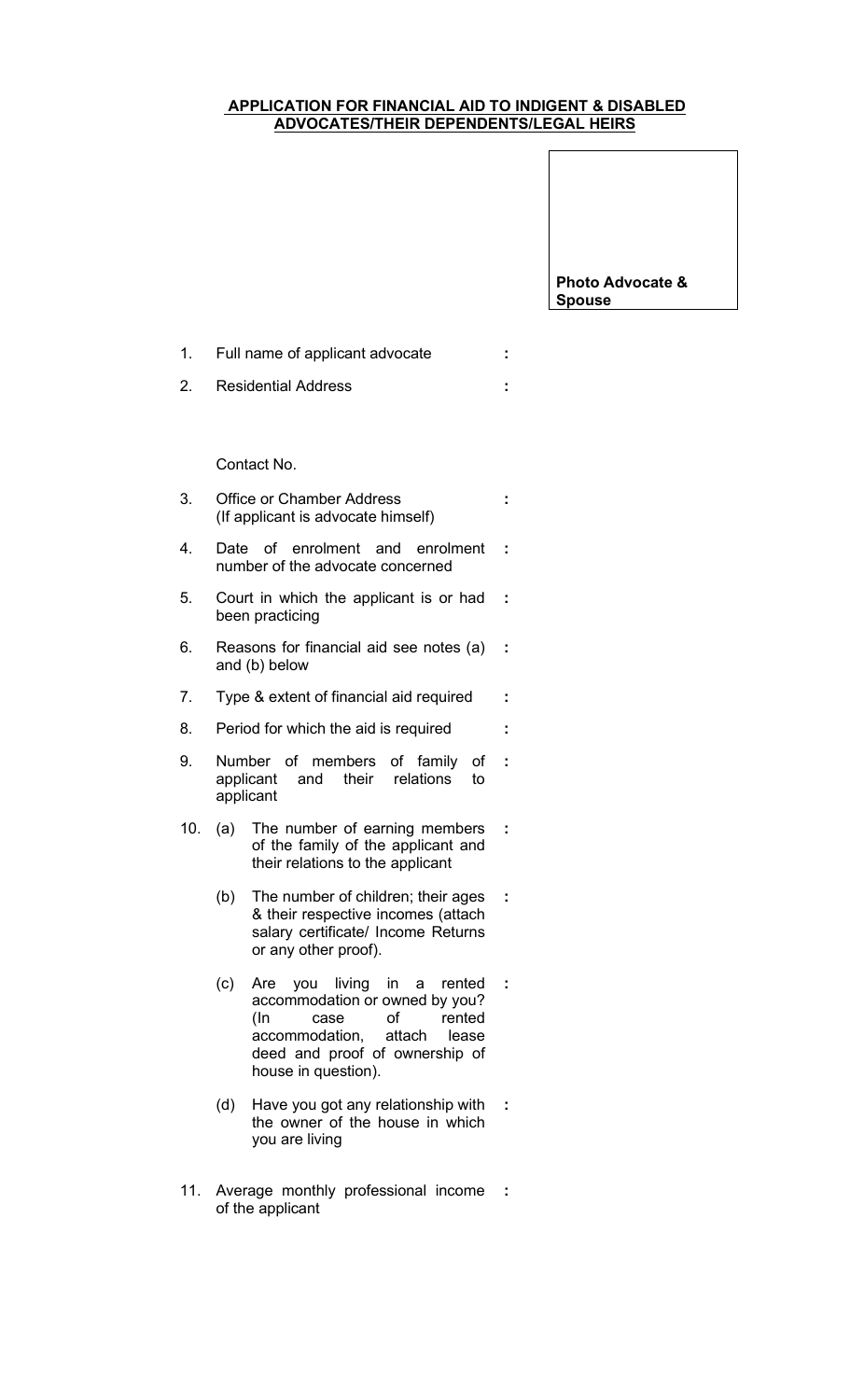## APPLICATION FOR FINANCIAL AID TO INDIGENT & DISABLED ADVOCATES/THEIR DEPENDENTS/LEGAL HEIRS

:

Photo Advocate & Spouse

1. Full name of applicant advocate :

2. Residential Address :

Contact No.

- 3. Office or Chamber Address (If applicant is advocate himself)
- 4. Date of enrolment and enrolment : number of the advocate concerned
- 5. Court in which the applicant is or had been practicing :
- 6. Reasons for financial aid see notes (a) : and (b) below
- 7. Type & extent of financial aid required :
- 8. Period for which the aid is required :
- 9. Number of members of family of applicant and their relations to applicant :
- 10. (a) The number of earning members of the family of the applicant and their relations to the applicant :
	- (b) The number of children; their ages & their respective incomes (attach salary certificate/ Income Returns or any other proof). :
	- (c) Are you living in a rented accommodation or owned by you? (In case of rented accommodation, attach lease deed and proof of ownership of house in question). :
	- (d) Have you got any relationship with the owner of the house in which you are living :
- 11. Average monthly professional income : of the applicant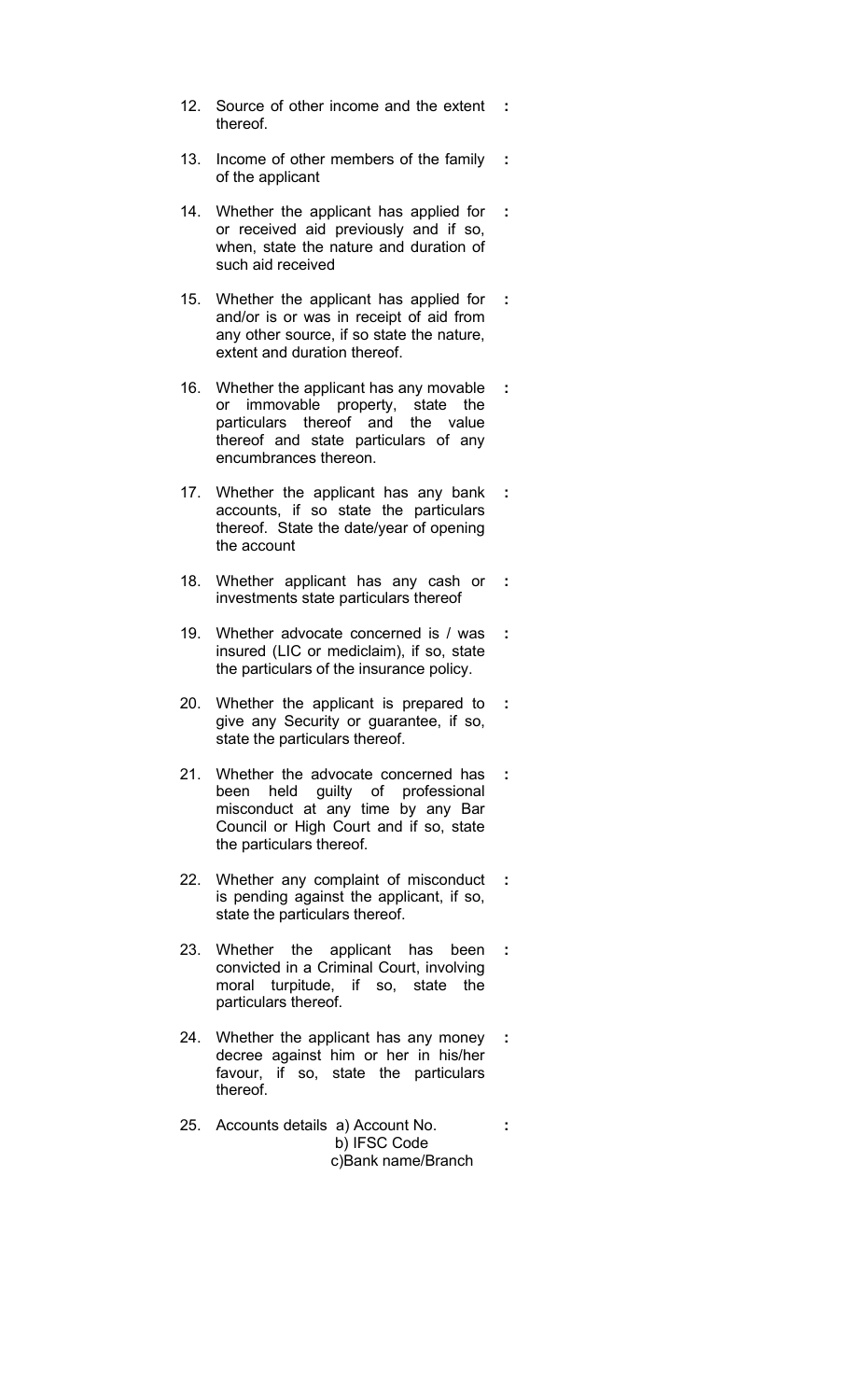- 12. Source of other income and the extent : thereof.
- 13. Income of other members of the family : of the applicant
- 14. Whether the applicant has applied for or received aid previously and if so, when, state the nature and duration of such aid received :
- 15. Whether the applicant has applied for and/or is or was in receipt of aid from any other source, if so state the nature, extent and duration thereof. :
- 16. Whether the applicant has any movable or immovable property, state the particulars thereof and the value thereof and state particulars of any encumbrances thereon. :
- 17. Whether the applicant has any bank accounts, if so state the particulars thereof. State the date/year of opening the account

:

- 18. Whether applicant has any cash or investments state particulars thereof :
- 19. Whether advocate concerned is / was insured (LIC or mediclaim), if so, state the particulars of the insurance policy. :
- 20. Whether the applicant is prepared to give any Security or guarantee, if so, state the particulars thereof. :
- 21. Whether the advocate concerned has been held guilty of professional misconduct at any time by any Bar Council or High Court and if so, state the particulars thereof. :
- 22. Whether any complaint of misconduct is pending against the applicant, if so, state the particulars thereof. :
- 23. Whether the applicant has been convicted in a Criminal Court, involving moral turpitude, if so, state the particulars thereof. :
- 24. Whether the applicant has any money decree against him or her in his/her favour, if so, state the particulars thereof. :
- 25. Accounts details a) Account No. b) IFSC Code c)Bank name/Branch :